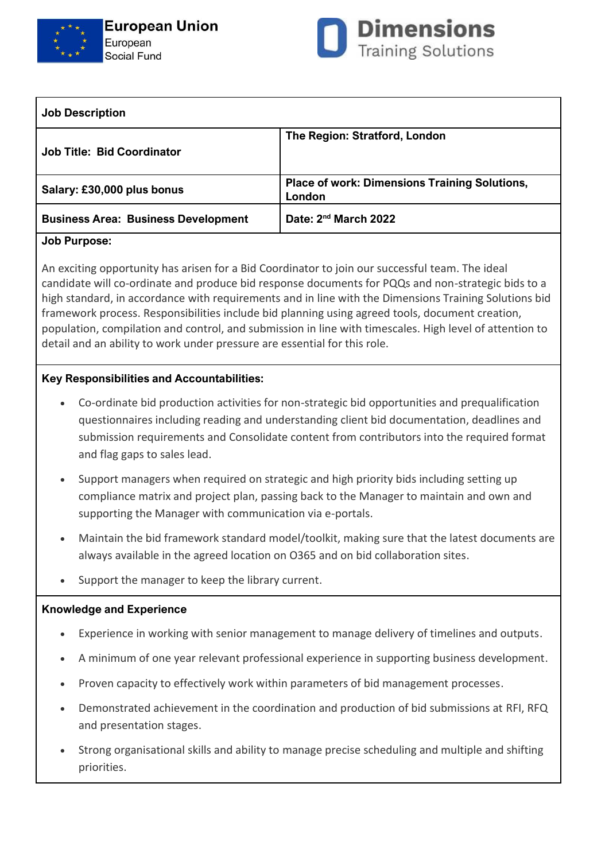



| <b>Job Description</b>                     |                                                                |
|--------------------------------------------|----------------------------------------------------------------|
| <b>Job Title: Bid Coordinator</b>          | The Region: Stratford, London                                  |
| Salary: £30,000 plus bonus                 | <b>Place of work: Dimensions Training Solutions,</b><br>London |
| <b>Business Area: Business Development</b> | Date: 2 <sup>nd</sup> March 2022                               |
|                                            |                                                                |

## **Job Purpose:**

An exciting opportunity has arisen for a Bid Coordinator to join our successful team. The ideal candidate will co-ordinate and produce bid response documents for PQQs and non-strategic bids to a high standard, in accordance with requirements and in line with the Dimensions Training Solutions bid framework process. Responsibilities include bid planning using agreed tools, document creation, population, compilation and control, and submission in line with timescales. High level of attention to detail and an ability to work under pressure are essential for this role.

## **Key Responsibilities and Accountabilities:**

- Co-ordinate bid production activities for non-strategic bid opportunities and prequalification questionnaires including reading and understanding client bid documentation, deadlines and submission requirements and Consolidate content from contributors into the required format and flag gaps to sales lead.
- Support managers when required on strategic and high priority bids including setting up compliance matrix and project plan, passing back to the Manager to maintain and own and supporting the Manager with communication via e-portals.
- Maintain the bid framework standard model/toolkit, making sure that the latest documents are always available in the agreed location on O365 and on bid collaboration sites.
- Support the manager to keep the library current.

## **Knowledge and Experience**

- Experience in working with senior management to manage delivery of timelines and outputs.
- A minimum of one year relevant professional experience in supporting business development.
- Proven capacity to effectively work within parameters of bid management processes.
- Demonstrated achievement in the coordination and production of bid submissions at RFI, RFQ and presentation stages.
- Strong organisational skills and ability to manage precise scheduling and multiple and shifting priorities.